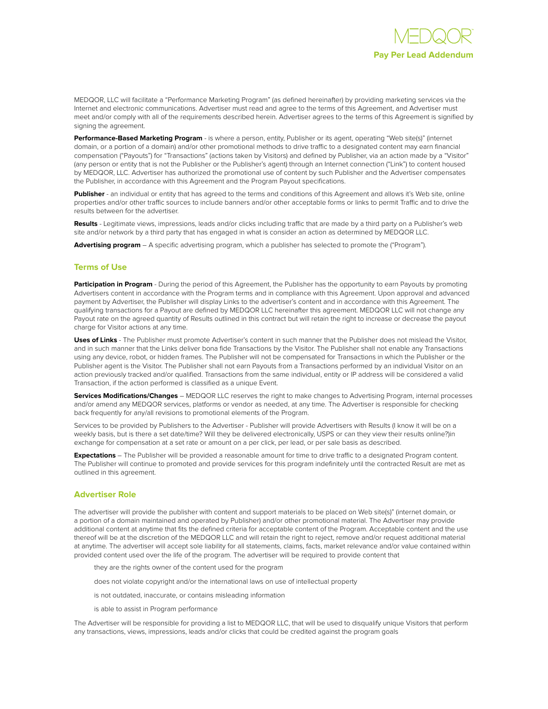

MEDQOR, LLC will facilitate a "Performance Marketing Program" (as defined hereinafter) by providing marketing services via the Internet and electronic communications. Advertiser must read and agree to the terms of this Agreement, and Advertiser must meet and/or comply with all of the requirements described herein. Advertiser agrees to the terms of this Agreement is signified by signing the agreement.

**Performance-Based Marketing Program** - is where a person, entity, Publisher or its agent, operating "Web site(s)" (internet domain, or a portion of a domain) and/or other promotional methods to drive traffic to a designated content may earn financial compensation ("Payouts") for "Transactions" (actions taken by Visitors) and defined by Publisher, via an action made by a "Visitor" (any person or entity that is not the Publisher or the Publisher's agent) through an Internet connection ("Link") to content housed by MEDQOR, LLC. Advertiser has authorized the promotional use of content by such Publisher and the Advertiser compensates the Publisher, in accordance with this Agreement and the Program Payout specifications.

**Publisher** - an individual or entity that has agreed to the terms and conditions of this Agreement and allows it's Web site, online properties and/or other traffic sources to include banners and/or other acceptable forms or links to permit Traffic and to drive the results between for the advertiser.

**Results** - Legitimate views, impressions, leads and/or clicks including traffic that are made by a third party on a Publisher's web site and/or network by a third party that has engaged in what is consider an action as determined by MEDQOR LLC.

**Advertising program** – A specific advertising program, which a publisher has selected to promote the ("Program").

## **Terms of Use**

Participation in Program - During the period of this Agreement, the Publisher has the opportunity to earn Payouts by promoting Advertisers content in accordance with the Program terms and in compliance with this Agreement. Upon approval and advanced payment by Advertiser, the Publisher will display Links to the advertiser's content and in accordance with this Agreement. The qualifying transactions for a Payout are defined by MEDQOR LLC hereinafter this agreement. MEDQOR LLC will not change any Payout rate on the agreed quantity of Results outlined in this contract but will retain the right to increase or decrease the payout charge for Visitor actions at any time.

**Uses of Links** - The Publisher must promote Advertiser's content in such manner that the Publisher does not mislead the Visitor, and in such manner that the Links deliver bona fide Transactions by the Visitor. The Publisher shall not enable any Transactions using any device, robot, or hidden frames. The Publisher will not be compensated for Transactions in which the Publisher or the Publisher agent is the Visitor. The Publisher shall not earn Payouts from a Transactions performed by an individual Visitor on an action previously tracked and/or qualified. Transactions from the same individual, entity or IP address will be considered a valid Transaction, if the action performed is classified as a unique Event.

**Services Modifications/Changes** – MEDQOR LLC reserves the right to make changes to Advertising Program, internal processes and/or amend any MEDQOR services, platforms or vendor as needed, at any time. The Advertiser is responsible for checking back frequently for any/all revisions to promotional elements of the Program.

Services to be provided by Publishers to the Advertiser - Publisher will provide Advertisers with Results (I know it will be on a weekly basis, but is there a set date/time? Will they be delivered electronically, USPS or can they view their results online?)in exchange for compensation at a set rate or amount on a per click, per lead, or per sale basis as described.

**Expectations** – The Publisher will be provided a reasonable amount for time to drive traffic to a designated Program content. The Publisher will continue to promoted and provide services for this program indefinitely until the contracted Result are met as outlined in this agreement.

## **Advertiser Role**

The advertiser will provide the publisher with content and support materials to be placed on Web site(s)" (internet domain, or a portion of a domain maintained and operated by Publisher) and/or other promotional material. The Advertiser may provide additional content at anytime that fits the defined criteria for acceptable content of the Program. Acceptable content and the use thereof will be at the discretion of the MEDQOR LLC and will retain the right to reject, remove and/or request additional material at anytime. The advertiser will accept sole liability for all statements, claims, facts, market relevance and/or value contained within provided content used over the life of the program. The advertiser will be required to provide content that

they are the rights owner of the content used for the program

does not violate copyright and/or the international laws on use of intellectual property

is not outdated, inaccurate, or contains misleading information

is able to assist in Program performance

The Advertiser will be responsible for providing a list to MEDQOR LLC, that will be used to disqualify unique Visitors that perform any transactions, views, impressions, leads and/or clicks that could be credited against the program goals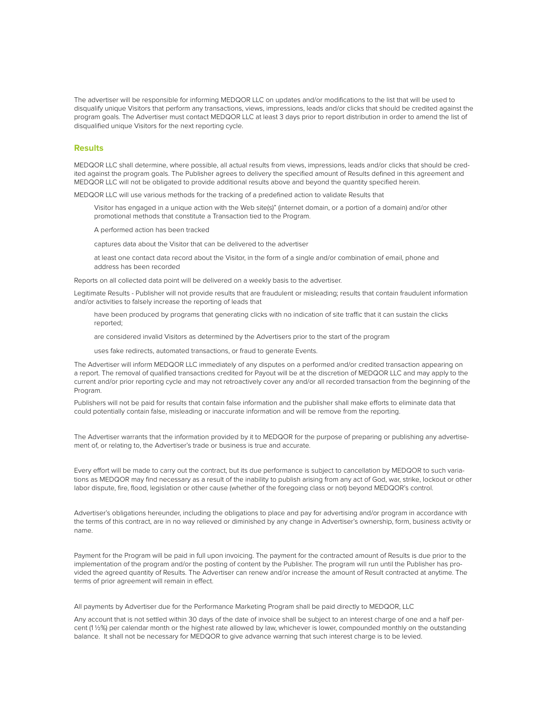The advertiser will be responsible for informing MEDQOR LLC on updates and/or modifications to the list that will be used to disqualify unique Visitors that perform any transactions, views, impressions, leads and/or clicks that should be credited against the program goals. The Advertiser must contact MEDQOR LLC at least 3 days prior to report distribution in order to amend the list of disqualified unique Visitors for the next reporting cycle.

## **Results**

MEDQOR LLC shall determine, where possible, all actual results from views, impressions, leads and/or clicks that should be credited against the program goals. The Publisher agrees to delivery the specified amount of Results defined in this agreement and MEDQOR LLC will not be obligated to provide additional results above and beyond the quantity specified herein.

MEDQOR LLC will use various methods for the tracking of a predefined action to validate Results that

Visitor has engaged in a unique action with the Web site(s)" (internet domain, or a portion of a domain) and/or other promotional methods that constitute a Transaction tied to the Program.

A performed action has been tracked

captures data about the Visitor that can be delivered to the advertiser

at least one contact data record about the Visitor, in the form of a single and/or combination of email, phone and address has been recorded

Reports on all collected data point will be delivered on a weekly basis to the advertiser.

Legitimate Results - Publisher will not provide results that are fraudulent or misleading; results that contain fraudulent information and/or activities to falsely increase the reporting of leads that

have been produced by programs that generating clicks with no indication of site traffic that it can sustain the clicks reported;

are considered invalid Visitors as determined by the Advertisers prior to the start of the program

uses fake redirects, automated transactions, or fraud to generate Events.

The Advertiser will inform MEDQOR LLC immediately of any disputes on a performed and/or credited transaction appearing on a report. The removal of qualified transactions credited for Payout will be at the discretion of MEDQOR LLC and may apply to the current and/or prior reporting cycle and may not retroactively cover any and/or all recorded transaction from the beginning of the Program.

Publishers will not be paid for results that contain false information and the publisher shall make efforts to eliminate data that could potentially contain false, misleading or inaccurate information and will be remove from the reporting.

The Advertiser warrants that the information provided by it to MEDQOR for the purpose of preparing or publishing any advertisement of, or relating to, the Advertiser's trade or business is true and accurate.

Every effort will be made to carry out the contract, but its due performance is subject to cancellation by MEDQOR to such variations as MEDQOR may find necessary as a result of the inability to publish arising from any act of God, war, strike, lockout or other labor dispute, fire, flood, legislation or other cause (whether of the foregoing class or not) beyond MEDQOR's control.

Advertiser's obligations hereunder, including the obligations to place and pay for advertising and/or program in accordance with the terms of this contract, are in no way relieved or diminished by any change in Advertiser's ownership, form, business activity or name.

Payment for the Program will be paid in full upon invoicing. The payment for the contracted amount of Results is due prior to the implementation of the program and/or the posting of content by the Publisher. The program will run until the Publisher has provided the agreed quantity of Results. The Advertiser can renew and/or increase the amount of Result contracted at anytime. The terms of prior agreement will remain in effect.

All payments by Advertiser due for the Performance Marketing Program shall be paid directly to MEDQOR, LLC

Any account that is not settled within 30 days of the date of invoice shall be subject to an interest charge of one and a half percent (1 ½%) per calendar month or the highest rate allowed by law, whichever is lower, compounded monthly on the outstanding balance. It shall not be necessary for MEDQOR to give advance warning that such interest charge is to be levied.